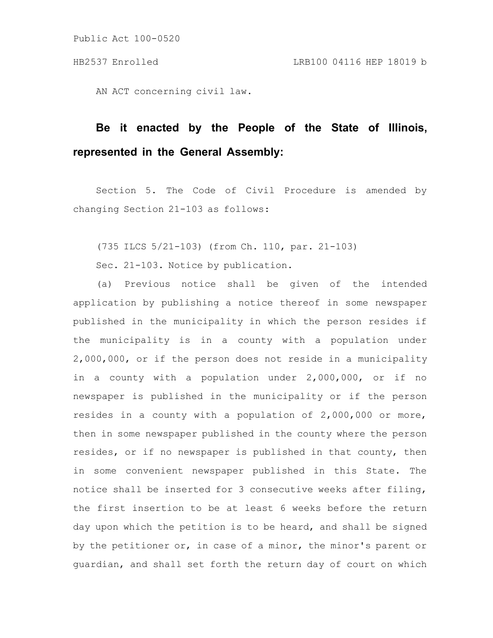AN ACT concerning civil law.

# **Be it enacted by the People of the State of Illinois, represented in the General Assembly:**

Section 5. The Code of Civil Procedure is amended by changing Section 21-103 as follows:

(735 ILCS 5/21-103) (from Ch. 110, par. 21-103)

Sec. 21-103. Notice by publication.

(a) Previous notice shall be given of the intended application by publishing a notice thereof in some newspaper published in the municipality in which the person resides if the municipality is in a county with a population under 2,000,000, or if the person does not reside in a municipality in a county with a population under 2,000,000, or if no newspaper is published in the municipality or if the person resides in a county with a population of 2,000,000 or more, then in some newspaper published in the county where the person resides, or if no newspaper is published in that county, then in some convenient newspaper published in this State. The notice shall be inserted for 3 consecutive weeks after filing, the first insertion to be at least 6 weeks before the return day upon which the petition is to be heard, and shall be signed by the petitioner or, in case of a minor, the minor's parent or guardian, and shall set forth the return day of court on which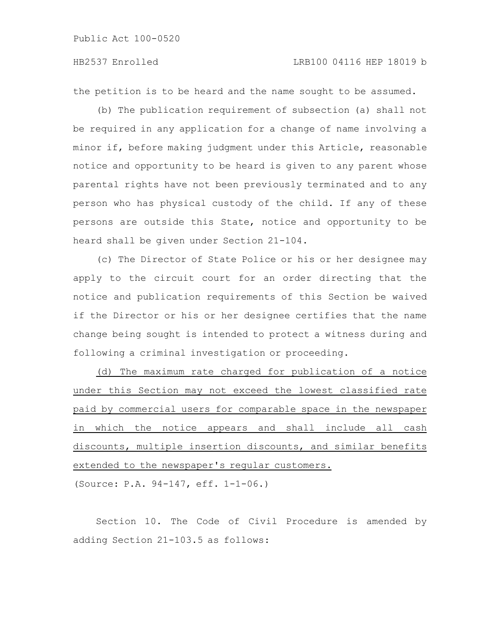## HB2537 Enrolled LRB100 04116 HEP 18019 b

the petition is to be heard and the name sought to be assumed.

(b) The publication requirement of subsection (a) shall not be required in any application for a change of name involving a minor if, before making judgment under this Article, reasonable notice and opportunity to be heard is given to any parent whose parental rights have not been previously terminated and to any person who has physical custody of the child. If any of these persons are outside this State, notice and opportunity to be heard shall be given under Section 21-104.

(c) The Director of State Police or his or her designee may apply to the circuit court for an order directing that the notice and publication requirements of this Section be waived if the Director or his or her designee certifies that the name change being sought is intended to protect a witness during and following a criminal investigation or proceeding.

(d) The maximum rate charged for publication of a notice under this Section may not exceed the lowest classified rate paid by commercial users for comparable space in the newspaper in which the notice appears and shall include all cash discounts, multiple insertion discounts, and similar benefits extended to the newspaper's regular customers.

(Source: P.A. 94-147, eff. 1-1-06.)

Section 10. The Code of Civil Procedure is amended by adding Section 21-103.5 as follows: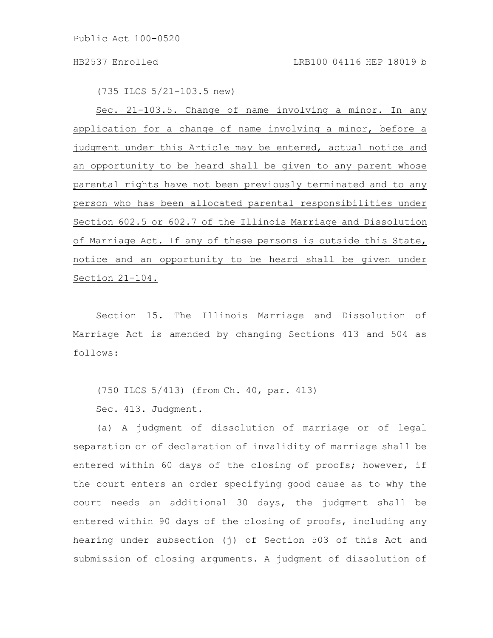(735 ILCS 5/21-103.5 new)

Sec. 21-103.5. Change of name involving a minor. In any application for a change of name involving a minor, before a judgment under this Article may be entered, actual notice and an opportunity to be heard shall be given to any parent whose parental rights have not been previously terminated and to any person who has been allocated parental responsibilities under Section 602.5 or 602.7 of the Illinois Marriage and Dissolution of Marriage Act. If any of these persons is outside this State, notice and an opportunity to be heard shall be given under Section 21-104.

Section 15. The Illinois Marriage and Dissolution of Marriage Act is amended by changing Sections 413 and 504 as follows:

(750 ILCS 5/413) (from Ch. 40, par. 413)

Sec. 413. Judgment.

(a) A judgment of dissolution of marriage or of legal separation or of declaration of invalidity of marriage shall be entered within 60 days of the closing of proofs; however, if the court enters an order specifying good cause as to why the court needs an additional 30 days, the judgment shall be entered within 90 days of the closing of proofs, including any hearing under subsection (j) of Section 503 of this Act and submission of closing arguments. A judgment of dissolution of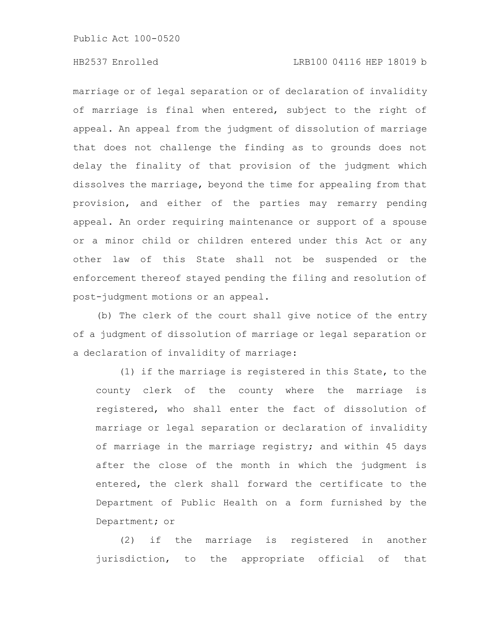# HB2537 Enrolled LRB100 04116 HEP 18019 b

marriage or of legal separation or of declaration of invalidity of marriage is final when entered, subject to the right of appeal. An appeal from the judgment of dissolution of marriage that does not challenge the finding as to grounds does not delay the finality of that provision of the judgment which dissolves the marriage, beyond the time for appealing from that provision, and either of the parties may remarry pending appeal. An order requiring maintenance or support of a spouse or a minor child or children entered under this Act or any other law of this State shall not be suspended or the enforcement thereof stayed pending the filing and resolution of post-judgment motions or an appeal.

(b) The clerk of the court shall give notice of the entry of a judgment of dissolution of marriage or legal separation or a declaration of invalidity of marriage:

(1) if the marriage is registered in this State, to the county clerk of the county where the marriage is registered, who shall enter the fact of dissolution of marriage or legal separation or declaration of invalidity of marriage in the marriage registry; and within 45 days after the close of the month in which the judgment is entered, the clerk shall forward the certificate to the Department of Public Health on a form furnished by the Department; or

(2) if the marriage is registered in another jurisdiction, to the appropriate official of that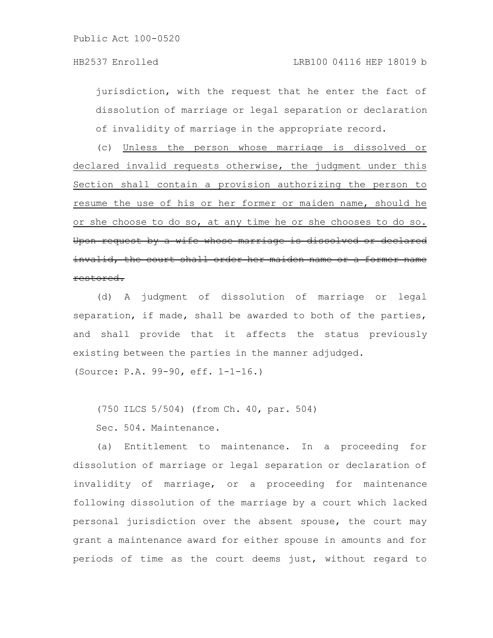jurisdiction, with the request that he enter the fact of dissolution of marriage or legal separation or declaration of invalidity of marriage in the appropriate record.

(c) Unless the person whose marriage is dissolved or declared invalid requests otherwise, the judgment under this Section shall contain a provision authorizing the person to resume the use of his or her former or maiden name, should he or she choose to do so, at any time he or she chooses to do so. Upon request by a wife whose marriage is dissolved or declared invalid, the court shall order her maiden name or a former name restored.

(d) A judgment of dissolution of marriage or legal separation, if made, shall be awarded to both of the parties, and shall provide that it affects the status previously existing between the parties in the manner adjudged. (Source: P.A. 99-90, eff. 1-1-16.)

(750 ILCS 5/504) (from Ch. 40, par. 504)

Sec. 504. Maintenance.

(a) Entitlement to maintenance. In a proceeding for dissolution of marriage or legal separation or declaration of invalidity of marriage, or a proceeding for maintenance following dissolution of the marriage by a court which lacked personal jurisdiction over the absent spouse, the court may grant a maintenance award for either spouse in amounts and for periods of time as the court deems just, without regard to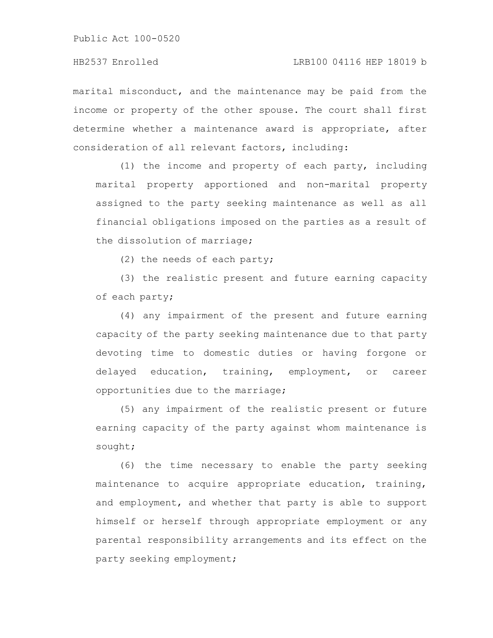marital misconduct, and the maintenance may be paid from the income or property of the other spouse. The court shall first determine whether a maintenance award is appropriate, after consideration of all relevant factors, including:

(1) the income and property of each party, including marital property apportioned and non-marital property assigned to the party seeking maintenance as well as all financial obligations imposed on the parties as a result of the dissolution of marriage;

(2) the needs of each party;

(3) the realistic present and future earning capacity of each party;

(4) any impairment of the present and future earning capacity of the party seeking maintenance due to that party devoting time to domestic duties or having forgone or delayed education, training, employment, or career opportunities due to the marriage;

(5) any impairment of the realistic present or future earning capacity of the party against whom maintenance is sought;

(6) the time necessary to enable the party seeking maintenance to acquire appropriate education, training, and employment, and whether that party is able to support himself or herself through appropriate employment or any parental responsibility arrangements and its effect on the party seeking employment;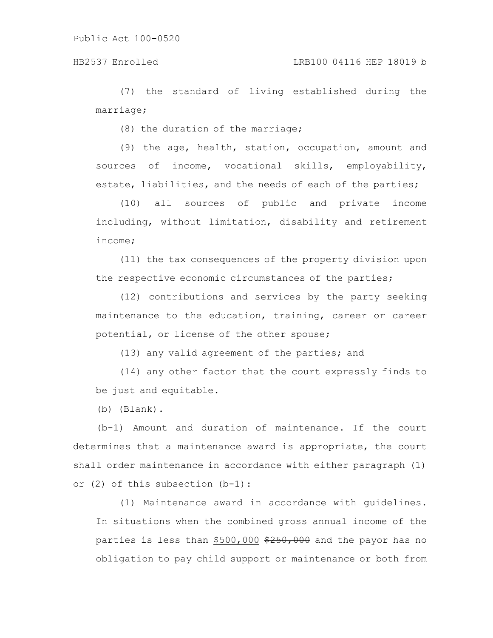(7) the standard of living established during the marriage;

(8) the duration of the marriage;

(9) the age, health, station, occupation, amount and sources of income, vocational skills, employability, estate, liabilities, and the needs of each of the parties;

(10) all sources of public and private income including, without limitation, disability and retirement income;

(11) the tax consequences of the property division upon the respective economic circumstances of the parties;

(12) contributions and services by the party seeking maintenance to the education, training, career or career potential, or license of the other spouse;

(13) any valid agreement of the parties; and

(14) any other factor that the court expressly finds to be just and equitable.

(b) (Blank).

(b-1) Amount and duration of maintenance. If the court determines that a maintenance award is appropriate, the court shall order maintenance in accordance with either paragraph (1) or (2) of this subsection (b-1):

(1) Maintenance award in accordance with guidelines. In situations when the combined gross annual income of the parties is less than \$500,000 \$250,000 and the payor has no obligation to pay child support or maintenance or both from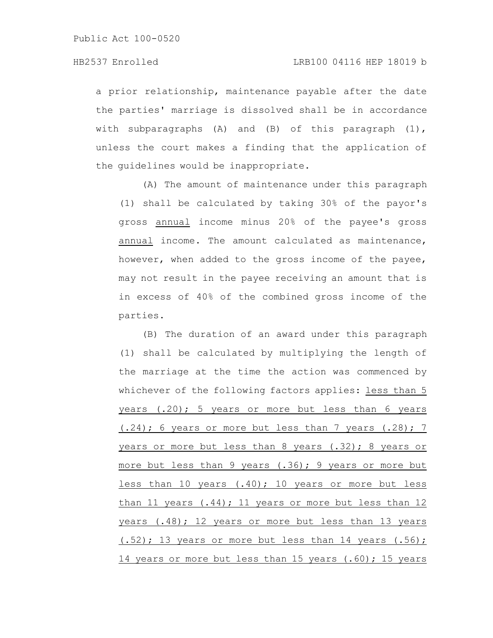a prior relationship, maintenance payable after the date the parties' marriage is dissolved shall be in accordance with subparagraphs (A) and (B) of this paragraph (1), unless the court makes a finding that the application of the guidelines would be inappropriate.

(A) The amount of maintenance under this paragraph (1) shall be calculated by taking 30% of the payor's gross annual income minus 20% of the payee's gross annual income. The amount calculated as maintenance, however, when added to the gross income of the payee, may not result in the payee receiving an amount that is in excess of 40% of the combined gross income of the parties.

(B) The duration of an award under this paragraph (1) shall be calculated by multiplying the length of the marriage at the time the action was commenced by whichever of the following factors applies: less than 5 years (.20); 5 years or more but less than 6 years (.24); 6 years or more but less than 7 years (.28); 7 years or more but less than 8 years (.32); 8 years or more but less than 9 years (.36); 9 years or more but less than 10 years (.40); 10 years or more but less than 11 years (.44); 11 years or more but less than 12 years (.48); 12 years or more but less than 13 years (.52); 13 years or more but less than 14 years (.56); 14 years or more but less than 15 years (.60); 15 years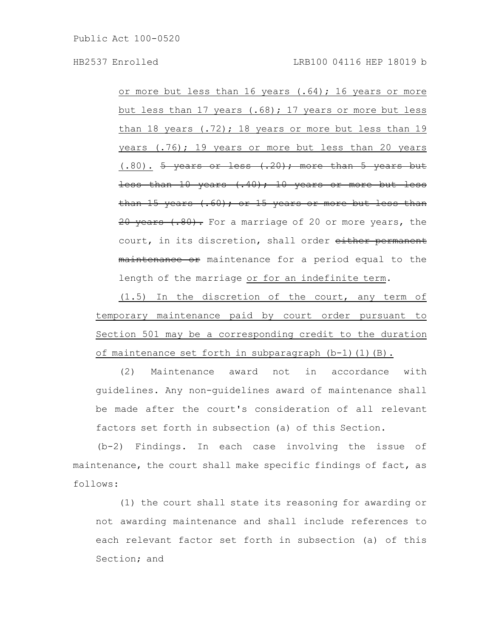or more but less than 16 years (.64); 16 years or more but less than 17 years (.68); 17 years or more but less than 18 years  $(.72)$ ; 18 years or more but less than 19 years (.76); 19 years or more but less than 20 years  $(.80)$ . <del>5 years or less  $(.20)$ ; more than 5 years but</del> less than 10 years (.40); 10 years or more but less than 15 years  $(.60)$ ; or 15 years or more but less than 20 years (.80). For a marriage of 20 or more years, the court, in its discretion, shall order either permanent maintenance or maintenance for a period equal to the length of the marriage or for an indefinite term.

(1.5) In the discretion of the court, any term of temporary maintenance paid by court order pursuant to Section 501 may be a corresponding credit to the duration of maintenance set forth in subparagraph (b-1)(1)(B).

(2) Maintenance award not in accordance with guidelines. Any non-guidelines award of maintenance shall be made after the court's consideration of all relevant factors set forth in subsection (a) of this Section.

(b-2) Findings. In each case involving the issue of maintenance, the court shall make specific findings of fact, as follows:

(1) the court shall state its reasoning for awarding or not awarding maintenance and shall include references to each relevant factor set forth in subsection (a) of this Section; and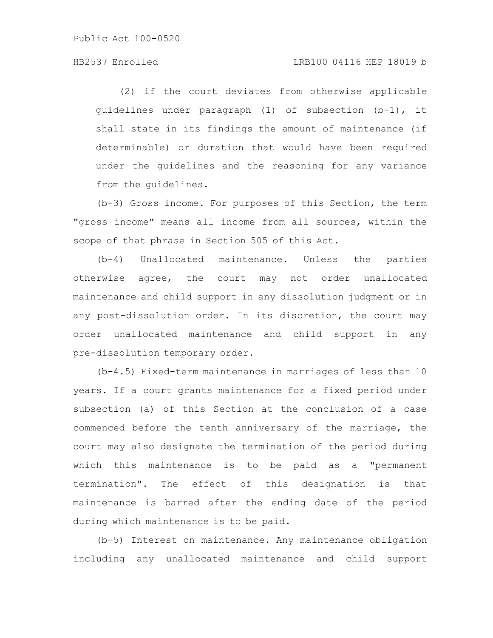# HB2537 Enrolled LRB100 04116 HEP 18019 b

(2) if the court deviates from otherwise applicable guidelines under paragraph (1) of subsection (b-1), it shall state in its findings the amount of maintenance (if determinable) or duration that would have been required under the guidelines and the reasoning for any variance from the guidelines.

(b-3) Gross income. For purposes of this Section, the term "gross income" means all income from all sources, within the scope of that phrase in Section 505 of this Act.

(b-4) Unallocated maintenance. Unless the parties otherwise agree, the court may not order unallocated maintenance and child support in any dissolution judgment or in any post-dissolution order. In its discretion, the court may order unallocated maintenance and child support in any pre-dissolution temporary order.

(b-4.5) Fixed-term maintenance in marriages of less than 10 years. If a court grants maintenance for a fixed period under subsection (a) of this Section at the conclusion of a case commenced before the tenth anniversary of the marriage, the court may also designate the termination of the period during which this maintenance is to be paid as a "permanent termination". The effect of this designation is that maintenance is barred after the ending date of the period during which maintenance is to be paid.

(b-5) Interest on maintenance. Any maintenance obligation including any unallocated maintenance and child support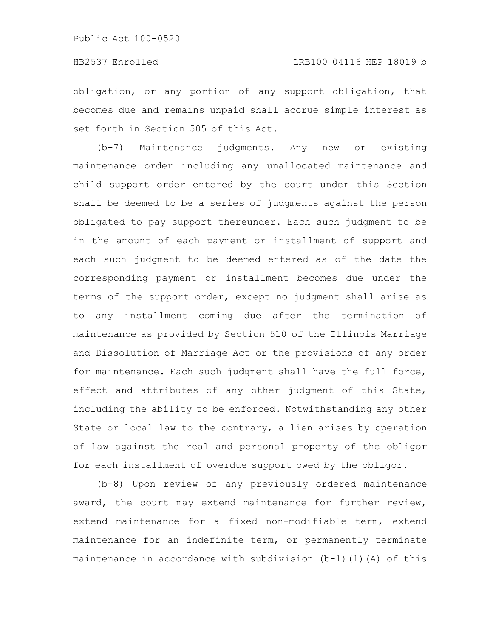obligation, or any portion of any support obligation, that becomes due and remains unpaid shall accrue simple interest as set forth in Section 505 of this Act.

(b-7) Maintenance judgments. Any new or existing maintenance order including any unallocated maintenance and child support order entered by the court under this Section shall be deemed to be a series of judgments against the person obligated to pay support thereunder. Each such judgment to be in the amount of each payment or installment of support and each such judgment to be deemed entered as of the date the corresponding payment or installment becomes due under the terms of the support order, except no judgment shall arise as to any installment coming due after the termination of maintenance as provided by Section 510 of the Illinois Marriage and Dissolution of Marriage Act or the provisions of any order for maintenance. Each such judgment shall have the full force, effect and attributes of any other judgment of this State, including the ability to be enforced. Notwithstanding any other State or local law to the contrary, a lien arises by operation of law against the real and personal property of the obligor for each installment of overdue support owed by the obligor.

(b-8) Upon review of any previously ordered maintenance award, the court may extend maintenance for further review, extend maintenance for a fixed non-modifiable term, extend maintenance for an indefinite term, or permanently terminate maintenance in accordance with subdivision  $(b-1)(1)(A)$  of this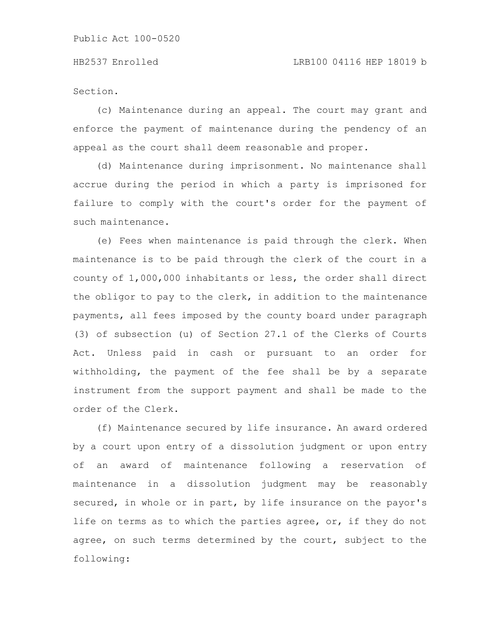Section.

(c) Maintenance during an appeal. The court may grant and enforce the payment of maintenance during the pendency of an appeal as the court shall deem reasonable and proper.

(d) Maintenance during imprisonment. No maintenance shall accrue during the period in which a party is imprisoned for failure to comply with the court's order for the payment of such maintenance.

(e) Fees when maintenance is paid through the clerk. When maintenance is to be paid through the clerk of the court in a county of 1,000,000 inhabitants or less, the order shall direct the obligor to pay to the clerk, in addition to the maintenance payments, all fees imposed by the county board under paragraph (3) of subsection (u) of Section 27.1 of the Clerks of Courts Act. Unless paid in cash or pursuant to an order for withholding, the payment of the fee shall be by a separate instrument from the support payment and shall be made to the order of the Clerk.

(f) Maintenance secured by life insurance. An award ordered by a court upon entry of a dissolution judgment or upon entry of an award of maintenance following a reservation of maintenance in a dissolution judgment may be reasonably secured, in whole or in part, by life insurance on the payor's life on terms as to which the parties agree, or, if they do not agree, on such terms determined by the court, subject to the following: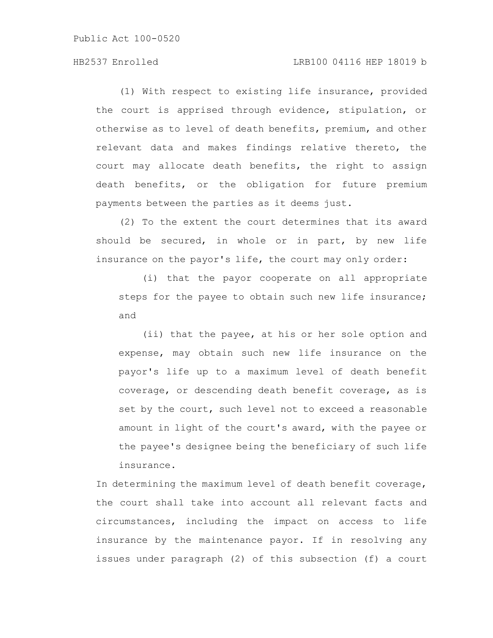## HB2537 Enrolled LRB100 04116 HEP 18019 b

(1) With respect to existing life insurance, provided the court is apprised through evidence, stipulation, or otherwise as to level of death benefits, premium, and other relevant data and makes findings relative thereto, the court may allocate death benefits, the right to assign death benefits, or the obligation for future premium payments between the parties as it deems just.

(2) To the extent the court determines that its award should be secured, in whole or in part, by new life insurance on the payor's life, the court may only order:

(i) that the payor cooperate on all appropriate steps for the payee to obtain such new life insurance; and

(ii) that the payee, at his or her sole option and expense, may obtain such new life insurance on the payor's life up to a maximum level of death benefit coverage, or descending death benefit coverage, as is set by the court, such level not to exceed a reasonable amount in light of the court's award, with the payee or the payee's designee being the beneficiary of such life insurance.

In determining the maximum level of death benefit coverage, the court shall take into account all relevant facts and circumstances, including the impact on access to life insurance by the maintenance payor. If in resolving any issues under paragraph (2) of this subsection (f) a court